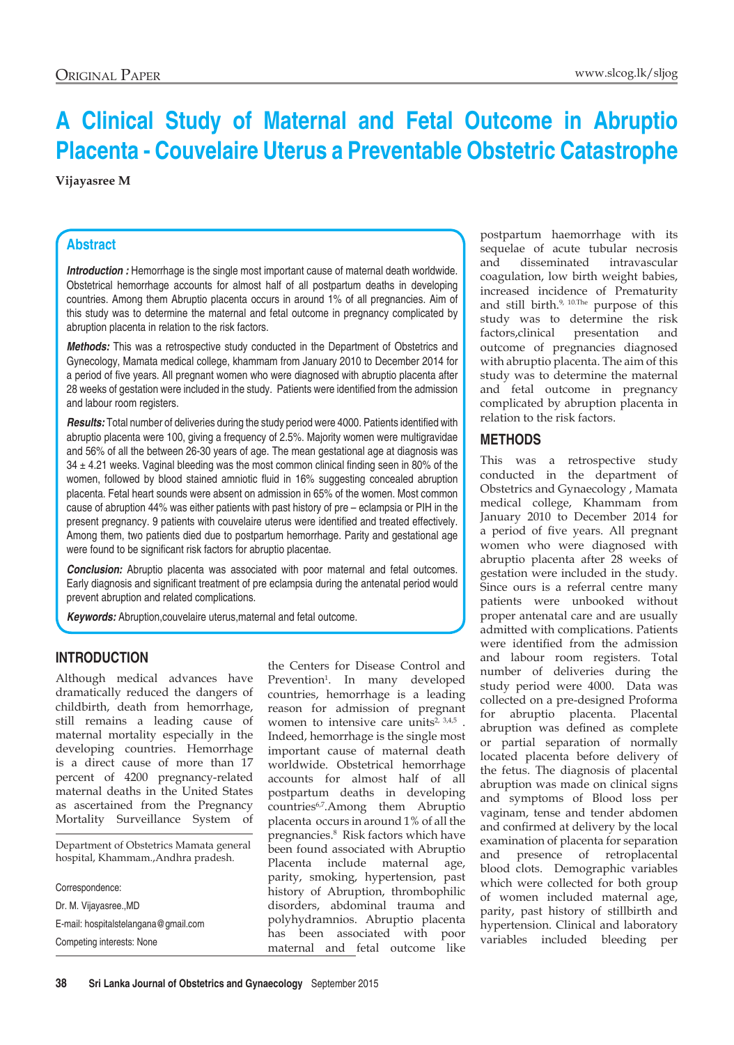# **A Clinical Study of Maternal and Fetal Outcome in Abruptio Placenta - Couvelaire Uterus a Preventable Obstetric Catastrophe**

### **Vijayasree M**

## **Abstract**

*Introduction :* Hemorrhage is the single most important cause of maternal death worldwide. Obstetrical hemorrhage accounts for almost half of all postpartum deaths in developing countries. Among them Abruptio placenta occurs in around 1% of all pregnancies. Aim of this study was to determine the maternal and fetal outcome in pregnancy complicated by abruption placenta in relation to the risk factors.

*Methods:* This was a retrospective study conducted in the Department of Obstetrics and Gynecology, Mamata medical college, khammam from January 2010 to December 2014 for a period of five years. All pregnant women who were diagnosed with abruptio placenta after 28 weeks of gestation were included in the study. Patients were identified from the admission and labour room registers.

*Results:* Total number of deliveries during the study period were 4000. Patients identified with abruptio placenta were 100, giving a frequency of 2.5%. Majority women were multigravidae and 56% of all the between 26-30 years of age. The mean gestational age at diagnosis was  $34 \pm 4.21$  weeks. Vaginal bleeding was the most common clinical finding seen in 80% of the women, followed by blood stained amniotic fluid in 16% suggesting concealed abruption placenta. Fetal heart sounds were absent on admission in 65% of the women. Most common cause of abruption 44% was either patients with past history of pre – eclampsia or PIH in the present pregnancy. 9 patients with couvelaire uterus were identified and treated effectively. Among them, two patients died due to postpartum hemorrhage. Parity and gestational age were found to be significant risk factors for abruptio placentae.

*Conclusion:* Abruptio placenta was associated with poor maternal and fetal outcomes. Early diagnosis and significant treatment of pre eclampsia during the antenatal period would prevent abruption and related complications.

*Keywords:* Abruption,couvelaire uterus,maternal and fetal outcome.

# **Introduction**

Although medical advances have dramatically reduced the dangers of childbirth, death from hemorrhage, still remains a leading cause of maternal mortality especially in the developing countries. Hemorrhage is a direct cause of more than 17 percent of 4200 pregnancy-related maternal deaths in the United States as ascertained from the Pregnancy Mortality Surveillance System of

Department of Obstetrics Mamata general hospital, Khammam.,Andhra pradesh.

Correspondence: Dr. M. Vijayasree.,MD E-mail: hospitalstelangana@gmail.com Competing interests: None

the Centers for Disease Control and Prevention<sup>1</sup>. In many developed countries, hemorrhage is a leading reason for admission of pregnant women to intensive care units<sup> $2, 3,4,5$ </sup>. Indeed, hemorrhage is the single most important cause of maternal death worldwide. Obstetrical hemorrhage accounts for almost half of all postpartum deaths in developing countries6,7.Among them Abruptio placenta occurs in around 1% of all the pregnancies.8 Risk factors which have been found associated with Abruptio Placenta include maternal age, parity, smoking, hypertension, past history of Abruption, thrombophilic disorders, abdominal trauma and polyhydramnios. Abruptio placenta has been associated with poor maternal and fetal outcome like

postpartum haemorrhage with its sequelae of acute tubular necrosis and disseminated intravascular coagulation, low birth weight babies, increased incidence of Prematurity and still birth.<sup>9, 10.The</sup> purpose of this study was to determine the risk factors,clinical presentation and outcome of pregnancies diagnosed with abruptio placenta. The aim of this study was to determine the maternal and fetal outcome in pregnancy complicated by abruption placenta in relation to the risk factors.

## **Methods**

This was a retrospective study conducted in the department of Obstetrics and Gynaecology , Mamata medical college, Khammam from January 2010 to December 2014 for a period of five years. All pregnant women who were diagnosed with abruptio placenta after 28 weeks of gestation were included in the study. Since ours is a referral centre many patients were unbooked without proper antenatal care and are usually admitted with complications. Patients were identified from the admission and labour room registers. Total number of deliveries during the study period were 4000. Data was collected on a pre-designed Proforma for abruptio placenta. Placental abruption was defined as complete or partial separation of normally located placenta before delivery of the fetus. The diagnosis of placental abruption was made on clinical signs and symptoms of Blood loss per vaginam, tense and tender abdomen and confirmed at delivery by the local examination of placenta for separation and presence of retroplacental blood clots. Demographic variables which were collected for both group of women included maternal age, parity, past history of stillbirth and hypertension. Clinical and laboratory variables included bleeding per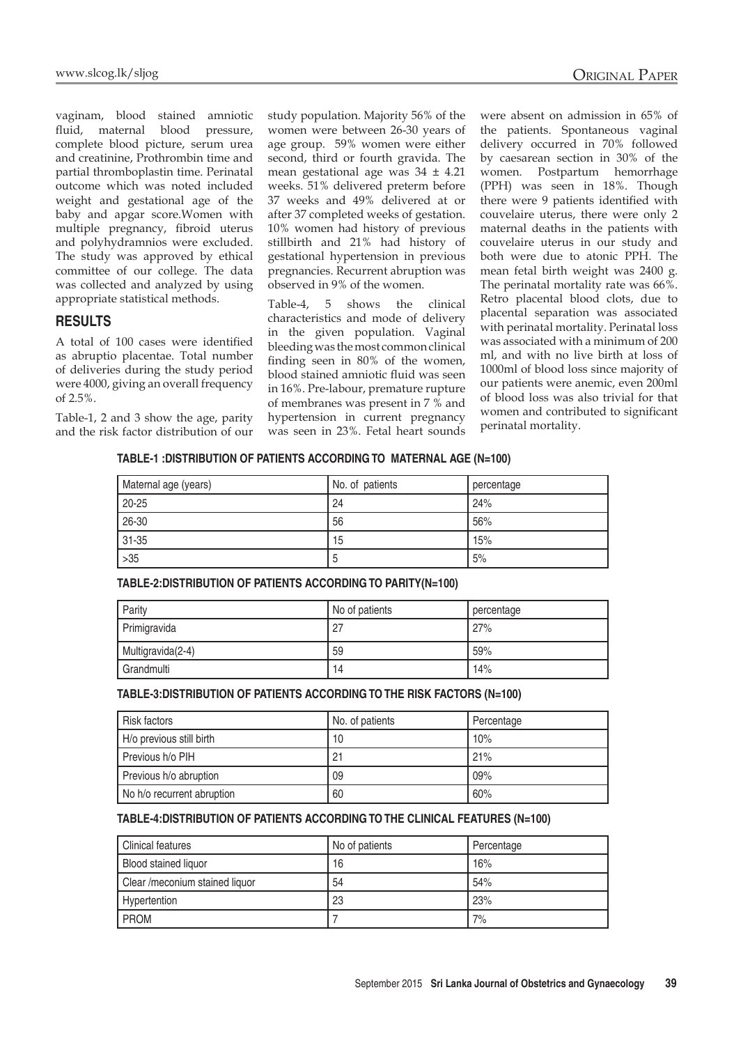vaginam, blood stained amniotic fluid, maternal blood pressure, complete blood picture, serum urea and creatinine, Prothrombin time and partial thromboplastin time. Perinatal outcome which was noted included weight and gestational age of the baby and apgar score.Women with multiple pregnancy, fibroid uterus and polyhydramnios were excluded. The study was approved by ethical committee of our college. The data was collected and analyzed by using appropriate statistical methods.

## **Results**

A total of 100 cases were identified as abruptio placentae. Total number of deliveries during the study period were 4000, giving an overall frequency of 2.5%.

Table-1, 2 and 3 show the age, parity and the risk factor distribution of our study population. Majority 56% of the women were between 26-30 years of age group. 59% women were either second, third or fourth gravida. The mean gestational age was 34 ± 4.21 weeks. 51% delivered preterm before 37 weeks and 49% delivered at or after 37 completed weeks of gestation. 10% women had history of previous stillbirth and 21% had history of gestational hypertension in previous pregnancies. Recurrent abruption was observed in 9% of the women.

Table-4, 5 shows the clinical characteristics and mode of delivery in the given population. Vaginal bleeding was the most common clinical finding seen in 80% of the women, blood stained amniotic fluid was seen in 16%. Pre-labour, premature rupture of membranes was present in 7 % and hypertension in current pregnancy was seen in 23%. Fetal heart sounds were absent on admission in 65% of the patients. Spontaneous vaginal delivery occurred in 70% followed by caesarean section in 30% of the women. Postpartum hemorrhage (PPH) was seen in 18%. Though there were 9 patients identified with couvelaire uterus, there were only 2 maternal deaths in the patients with couvelaire uterus in our study and both were due to atonic PPH. The mean fetal birth weight was 2400 g. The perinatal mortality rate was 66%. Retro placental blood clots, due to placental separation was associated with perinatal mortality. Perinatal loss was associated with a minimum of 200 ml, and with no live birth at loss of 1000ml of blood loss since majority of our patients were anemic, even 200ml of blood loss was also trivial for that women and contributed to significant perinatal mortality.

#### **TABLE-1 :DISTRIBUTION OF PATIENTS ACCORDING TO MATERNAL AGE (N=100)**

| Maternal age (years) | No. of patients | percentage |
|----------------------|-----------------|------------|
| $20 - 25$            | 24              | 24%        |
| 26-30                | 56              | 56%        |
| 31-35                | 15              | 15%        |
| $>35$                | C               | 5%         |

**TABLE-2:DISTRIBUTION OF PATIENTS ACCORDING TO PARITY(N=100)**

| Parity            | No of patients | percentage |
|-------------------|----------------|------------|
| Primigravida      | -27            | 27%        |
| Multigravida(2-4) | 59             | 59%        |
| Grandmulti        | 14             | 14%        |

#### **TABLE-3:DISTRIBUTION OF PATIENTS ACCORDING TO THE RISK FACTORS (N=100)**

| <b>Risk factors</b>        | No. of patients | Percentage |
|----------------------------|-----------------|------------|
| H/o previous still birth   | 10              | 10%        |
| Previous h/o PIH           | 21              | 21%        |
| Previous h/o abruption     | 09              | 09%        |
| No h/o recurrent abruption | 60              | 60%        |

#### **TABLE-4:DISTRIBUTION OF PATIENTS ACCORDING TO THE CLINICAL FEATURES (N=100)**

| <b>Clinical features</b>       | No of patients | Percentage |
|--------------------------------|----------------|------------|
| <b>Blood stained liquor</b>    | 16             | 16%        |
| Clear /meconium stained liquor | 54             | 54%        |
| Hypertention                   | 23             | 23%        |
| <b>PROM</b>                    |                | 7%         |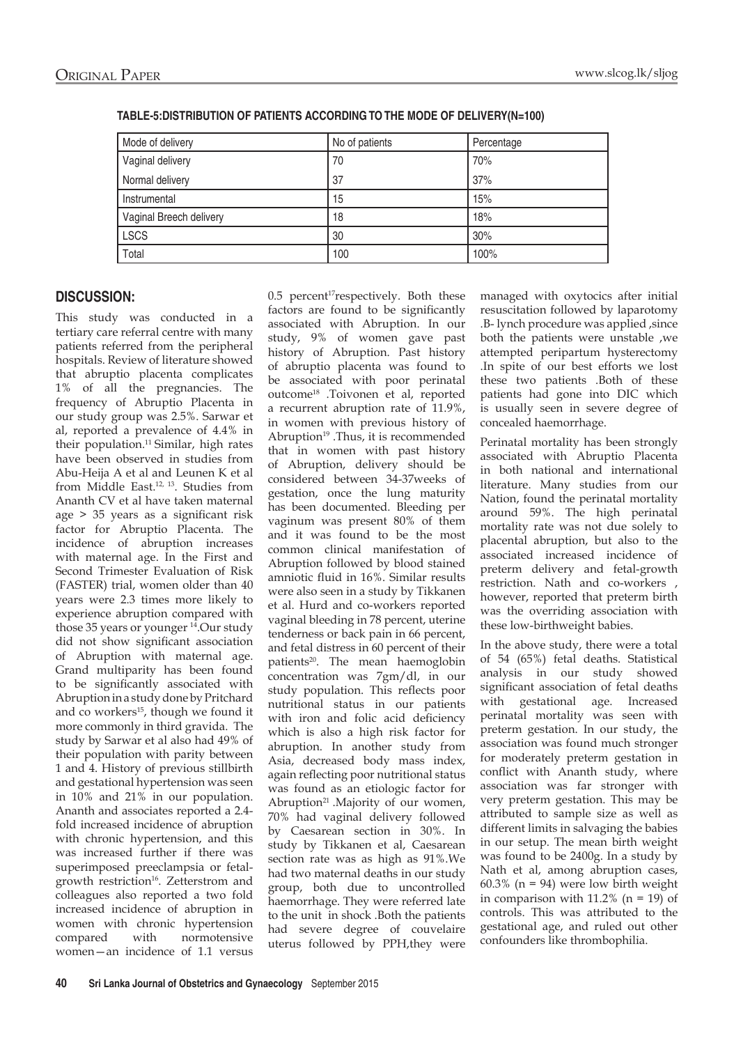| Mode of delivery        | No of patients | Percentage |
|-------------------------|----------------|------------|
| Vaginal delivery        | 70             | 70%        |
| Normal delivery         | 37             | 37%        |
| Instrumental            | 15             | 15%        |
| Vaginal Breech delivery | 18             | 18%        |
| <b>LSCS</b>             | 30             | 30%        |
| Total                   | 100            | 100%       |

| TABLE-5:DISTRIBUTION OF PATIENTS ACCORDING TO THE MODE OF DELIVERY(N=100) |  |
|---------------------------------------------------------------------------|--|
|                                                                           |  |

## **Discussion:**

This study was conducted in a tertiary care referral centre with many patients referred from the peripheral hospitals. Review of literature showed that abruptio placenta complicates 1% of all the pregnancies. The frequency of Abruptio Placenta in our study group was 2.5%. Sarwar et al, reported a prevalence of 4.4% in their population.<sup>11</sup> Similar, high rates have been observed in studies from Abu-Heija A et al and Leunen K et al from Middle East.<sup>12, 13</sup>. Studies from Ananth CV et al have taken maternal age > 35 years as a significant risk factor for Abruptio Placenta. The incidence of abruption increases with maternal age. In the First and Second Trimester Evaluation of Risk (FASTER) trial, women older than 40 years were 2.3 times more likely to experience abruption compared with those 35 years or younger<sup>14</sup>.Our study did not show significant association of Abruption with maternal age. Grand multiparity has been found to be significantly associated with Abruption in a study done by Pritchard and co workers<sup>15</sup>, though we found it more commonly in third gravida. The study by Sarwar et al also had 49% of their population with parity between 1 and 4. History of previous stillbirth and gestational hypertension was seen in 10% and 21% in our population. Ananth and associates reported a 2.4 fold increased incidence of abruption with chronic hypertension, and this was increased further if there was superimposed preeclampsia or fetalgrowth restriction<sup>16</sup>. Zetterstrom and colleagues also reported a two fold increased incidence of abruption in women with chronic hypertension compared with normotensive women—an incidence of 1.1 versus

0.5 percent<sup>17</sup>respectively. Both these factors are found to be significantly associated with Abruption. In our study, 9% of women gave past history of Abruption. Past history of abruptio placenta was found to be associated with poor perinatal outcome18 .Toivonen et al, reported a recurrent abruption rate of 11.9%, in women with previous history of Abruption<sup>19</sup>. Thus, it is recommended that in women with past history of Abruption, delivery should be considered between 34-37weeks of gestation, once the lung maturity has been documented. Bleeding per vaginum was present 80% of them and it was found to be the most common clinical manifestation of Abruption followed by blood stained amniotic fluid in 16%. Similar results were also seen in a study by Tikkanen et al. Hurd and co-workers reported vaginal bleeding in 78 percent, uterine tenderness or back pain in 66 percent, and fetal distress in 60 percent of their patients<sup>20</sup>. The mean haemoglobin concentration was 7gm/dl, in our study population. This reflects poor nutritional status in our patients with iron and folic acid deficiency which is also a high risk factor for abruption. In another study from Asia, decreased body mass index, again reflecting poor nutritional status was found as an etiologic factor for Abruption<sup>21</sup> .Majority of our women, 70% had vaginal delivery followed by Caesarean section in 30%. In study by Tikkanen et al, Caesarean section rate was as high as 91%.We had two maternal deaths in our study group, both due to uncontrolled haemorrhage. They were referred late to the unit in shock .Both the patients had severe degree of couvelaire uterus followed by PPH,they were

managed with oxytocics after initial resuscitation followed by laparotomy .B- lynch procedure was applied ,since both the patients were unstable ,we attempted peripartum hysterectomy .In spite of our best efforts we lost these two patients .Both of these patients had gone into DIC which is usually seen in severe degree of concealed haemorrhage.

Perinatal mortality has been strongly associated with Abruptio Placenta in both national and international literature. Many studies from our Nation, found the perinatal mortality around 59%. The high perinatal mortality rate was not due solely to placental abruption, but also to the associated increased incidence of preterm delivery and fetal-growth restriction. Nath and co-workers , however, reported that preterm birth was the overriding association with these low-birthweight babies.

In the above study, there were a total of 54 (65%) fetal deaths. Statistical analysis in our study showed significant association of fetal deaths with gestational age. Increased perinatal mortality was seen with preterm gestation. In our study, the association was found much stronger for moderately preterm gestation in conflict with Ananth study, where association was far stronger with very preterm gestation. This may be attributed to sample size as well as different limits in salvaging the babies in our setup. The mean birth weight was found to be 2400g. In a study by Nath et al, among abruption cases,  $60.3\%$  (n = 94) were low birth weight in comparison with  $11.2\%$  (n = 19) of controls. This was attributed to the gestational age, and ruled out other confounders like thrombophilia.